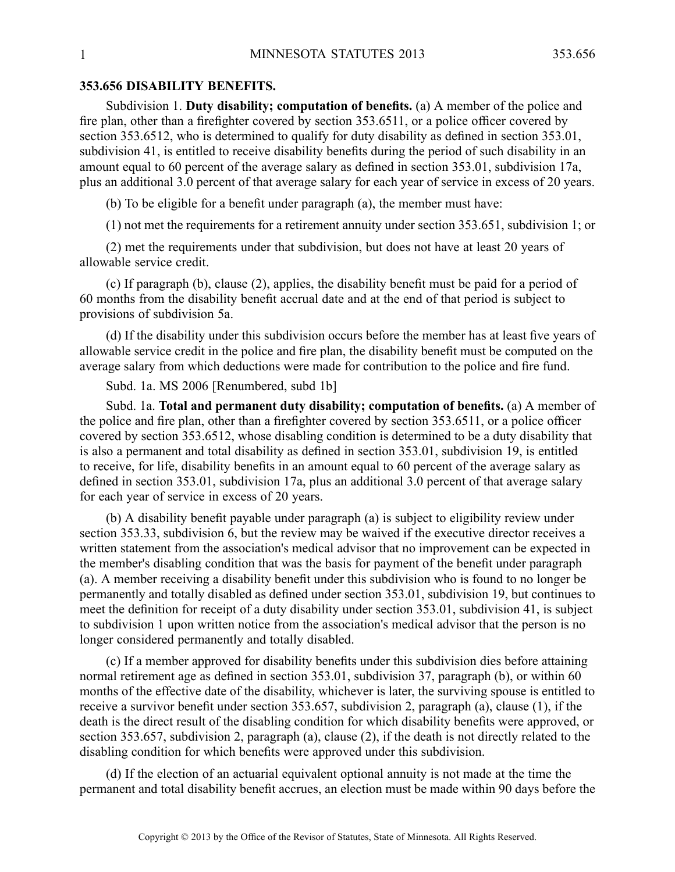## **353.656 DISABILITY BENEFITS.**

Subdivision 1. **Duty disability; computation of benefits.** (a) A member of the police and fire plan, other than <sup>a</sup> firefighter covered by section 353.6511, or <sup>a</sup> police officer covered by section 353.6512, who is determined to qualify for duty disability as defined in section 353.01, subdivision 41, is entitled to receive disability benefits during the period of such disability in an amount equal to 60 percen<sup>t</sup> of the average salary as defined in section 353.01, subdivision 17a, plus an additional 3.0 percen<sup>t</sup> of that average salary for each year of service in excess of 20 years.

(b) To be eligible for <sup>a</sup> benefit under paragraph (a), the member must have:

(1) not met the requirements for <sup>a</sup> retirement annuity under section 353.651, subdivision 1; or

(2) met the requirements under that subdivision, but does not have at least 20 years of allowable service credit.

(c) If paragraph (b), clause (2), applies, the disability benefit must be paid for <sup>a</sup> period of 60 months from the disability benefit accrual date and at the end of that period is subject to provisions of subdivision 5a.

(d) If the disability under this subdivision occurs before the member has at least five years of allowable service credit in the police and fire plan, the disability benefit must be computed on the average salary from which deductions were made for contribution to the police and fire fund.

Subd. 1a. MS 2006 [Renumbered, subd 1b]

Subd. 1a. **Total and permanen<sup>t</sup> duty disability; computation of benefits.** (a) A member of the police and fire plan, other than <sup>a</sup> firefighter covered by section 353.6511, or <sup>a</sup> police officer covered by section 353.6512, whose disabling condition is determined to be <sup>a</sup> duty disability that is also <sup>a</sup> permanen<sup>t</sup> and total disability as defined in section 353.01, subdivision 19, is entitled to receive, for life, disability benefits in an amount equal to 60 percen<sup>t</sup> of the average salary as defined in section 353.01, subdivision 17a, plus an additional 3.0 percen<sup>t</sup> of that average salary for each year of service in excess of 20 years.

(b) A disability benefit payable under paragraph (a) is subject to eligibility review under section 353.33, subdivision 6, but the review may be waived if the executive director receives <sup>a</sup> written statement from the association's medical advisor that no improvement can be expected in the member's disabling condition that was the basis for paymen<sup>t</sup> of the benefit under paragraph (a). Amember receiving <sup>a</sup> disability benefit under this subdivision who is found to no longer be permanently and totally disabled as defined under section 353.01, subdivision 19, but continues to meet the definition for receipt of <sup>a</sup> duty disability under section 353.01, subdivision 41, is subject to subdivision 1 upon written notice from the association's medical advisor that the person is no longer considered permanently and totally disabled.

(c) If <sup>a</sup> member approved for disability benefits under this subdivision dies before attaining normal retirement age as defined in section 353.01, subdivision 37, paragraph (b), or within 60 months of the effective date of the disability, whichever is later, the surviving spouse is entitled to receive <sup>a</sup> survivor benefit under section 353.657, subdivision 2, paragraph (a), clause (1), if the death is the direct result of the disabling condition for which disability benefits were approved, or section 353.657, subdivision 2, paragraph (a), clause (2), if the death is not directly related to the disabling condition for which benefits were approved under this subdivision.

(d) If the election of an actuarial equivalent optional annuity is not made at the time the permanen<sup>t</sup> and total disability benefit accrues, an election must be made within 90 days before the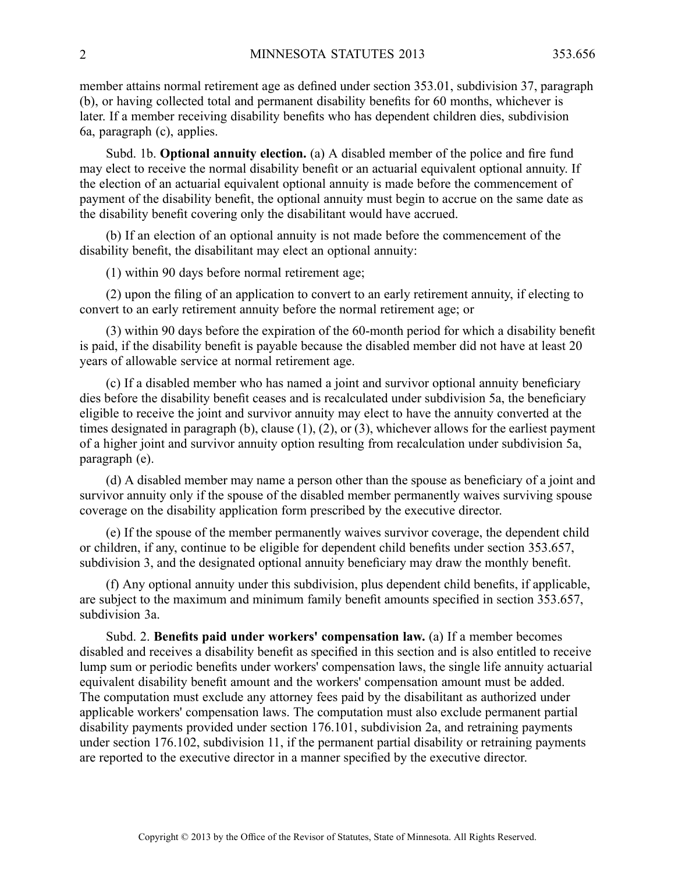member attains normal retirement age as defined under section 353.01, subdivision 37, paragraph (b), or having collected total and permanen<sup>t</sup> disability benefits for 60 months, whichever is later. If <sup>a</sup> member receiving disability benefits who has dependent children dies, subdivision 6a, paragraph (c), applies.

Subd. 1b. **Optional annuity election.** (a) A disabled member of the police and fire fund may elect to receive the normal disability benefit or an actuarial equivalent optional annuity. If the election of an actuarial equivalent optional annuity is made before the commencement of paymen<sup>t</sup> of the disability benefit, the optional annuity must begin to accrue on the same date as the disability benefit covering only the disabilitant would have accrued.

(b) If an election of an optional annuity is not made before the commencement of the disability benefit, the disabilitant may elect an optional annuity:

(1) within 90 days before normal retirement age;

(2) upon the filing of an application to convert to an early retirement annuity, if electing to convert to an early retirement annuity before the normal retirement age; or

(3) within 90 days before the expiration of the 60-month period for which <sup>a</sup> disability benefit is paid, if the disability benefit is payable because the disabled member did not have at least 20 years of allowable service at normal retirement age.

(c) If <sup>a</sup> disabled member who has named <sup>a</sup> joint and survivor optional annuity beneficiary dies before the disability benefit ceases and is recalculated under subdivision 5a, the beneficiary eligible to receive the joint and survivor annuity may elect to have the annuity converted at the times designated in paragraph (b), clause (1), (2), or (3), whichever allows for the earliest paymen<sup>t</sup> of <sup>a</sup> higher joint and survivor annuity option resulting from recalculation under subdivision 5a, paragraph (e).

(d) A disabled member may name <sup>a</sup> person other than the spouse as beneficiary of <sup>a</sup> joint and survivor annuity only if the spouse of the disabled member permanently waives surviving spouse coverage on the disability application form prescribed by the executive director.

(e) If the spouse of the member permanently waives survivor coverage, the dependent child or children, if any, continue to be eligible for dependent child benefits under section 353.657, subdivision 3, and the designated optional annuity beneficiary may draw the monthly benefit.

(f) Any optional annuity under this subdivision, plus dependent child benefits, if applicable, are subject to the maximum and minimum family benefit amounts specified in section 353.657, subdivision 3a.

Subd. 2. **Benefits paid under workers' compensation law.** (a) If <sup>a</sup> member becomes disabled and receives <sup>a</sup> disability benefit as specified in this section and is also entitled to receive lump sum or periodic benefits under workers' compensation laws, the single life annuity actuarial equivalent disability benefit amount and the workers' compensation amount must be added. The computation must exclude any attorney fees paid by the disabilitant as authorized under applicable workers' compensation laws. The computation must also exclude permanen<sup>t</sup> partial disability payments provided under section 176.101, subdivision 2a, and retraining payments under section 176.102, subdivision 11, if the permanent partial disability or retraining payments are reported to the executive director in <sup>a</sup> manner specified by the executive director.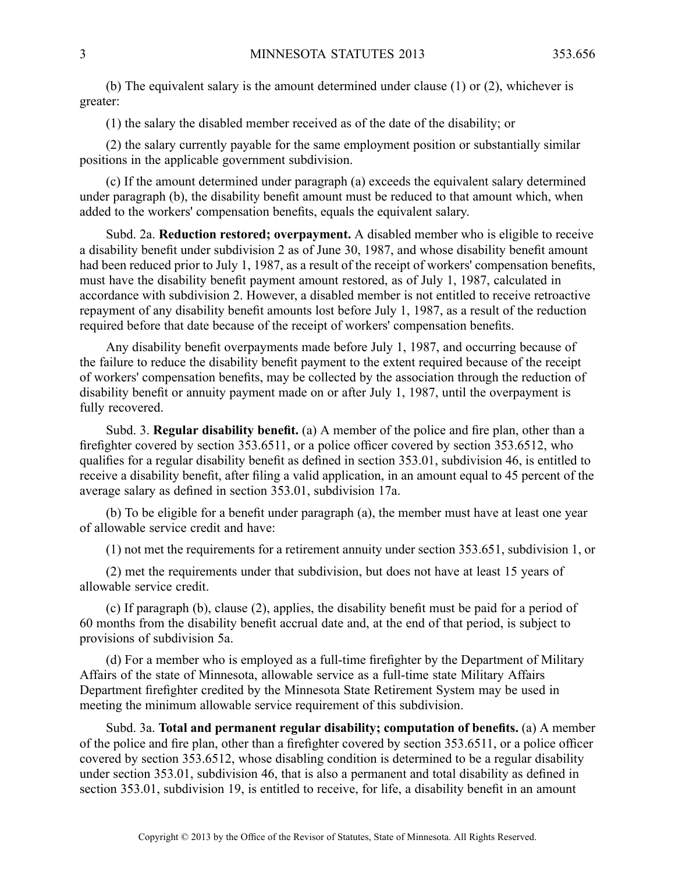(b) The equivalent salary is the amount determined under clause (1) or (2), whichever is greater:

(1) the salary the disabled member received as of the date of the disability; or

(2) the salary currently payable for the same employment position or substantially similar positions in the applicable governmen<sup>t</sup> subdivision.

(c) If the amount determined under paragraph (a) exceeds the equivalent salary determined under paragraph (b), the disability benefit amount must be reduced to that amount which, when added to the workers' compensation benefits, equals the equivalent salary.

Subd. 2a. **Reduction restored; overpayment.** Adisabled member who is eligible to receive <sup>a</sup> disability benefit under subdivision 2 as of June 30, 1987, and whose disability benefit amount had been reduced prior to July 1, 1987, as <sup>a</sup> result of the receipt of workers' compensation benefits, must have the disability benefit paymen<sup>t</sup> amount restored, as of July 1, 1987, calculated in accordance with subdivision 2. However, <sup>a</sup> disabled member is not entitled to receive retroactive repaymen<sup>t</sup> of any disability benefit amounts lost before July 1, 1987, as <sup>a</sup> result of the reduction required before that date because of the receipt of workers' compensation benefits.

Any disability benefit overpayments made before July 1, 1987, and occurring because of the failure to reduce the disability benefit paymen<sup>t</sup> to the extent required because of the receipt of workers' compensation benefits, may be collected by the association through the reduction of disability benefit or annuity paymen<sup>t</sup> made on or after July 1, 1987, until the overpaymen<sup>t</sup> is fully recovered.

Subd. 3. **Regular disability benefit.** (a) A member of the police and fire plan, other than <sup>a</sup> firefighter covered by section 353.6511, or <sup>a</sup> police officer covered by section 353.6512, who qualifies for <sup>a</sup> regular disability benefit as defined in section 353.01, subdivision 46, is entitled to receive <sup>a</sup> disability benefit, after filing <sup>a</sup> valid application, in an amount equal to 45 percen<sup>t</sup> of the average salary as defined in section 353.01, subdivision 17a.

(b) To be eligible for <sup>a</sup> benefit under paragraph (a), the member must have at least one year of allowable service credit and have:

(1) not met the requirements for <sup>a</sup> retirement annuity under section 353.651, subdivision 1, or

(2) met the requirements under that subdivision, but does not have at least 15 years of allowable service credit.

(c) If paragraph (b), clause (2), applies, the disability benefit must be paid for <sup>a</sup> period of 60 months from the disability benefit accrual date and, at the end of that period, is subject to provisions of subdivision 5a.

(d) For <sup>a</sup> member who is employed as <sup>a</sup> full-time firefighter by the Department of Military Affairs of the state of Minnesota, allowable service as <sup>a</sup> full-time state Military Affairs Department firefighter credited by the Minnesota State Retirement System may be used in meeting the minimum allowable service requirement of this subdivision.

Subd. 3a. **Total and permanen<sup>t</sup> regular disability; computation of benefits.** (a) A member of the police and fire plan, other than <sup>a</sup> firefighter covered by section 353.6511, or <sup>a</sup> police officer covered by section 353.6512, whose disabling condition is determined to be <sup>a</sup> regular disability under section 353.01, subdivision 46, that is also <sup>a</sup> permanen<sup>t</sup> and total disability as defined in section 353.01, subdivision 19, is entitled to receive, for life, <sup>a</sup> disability benefit in an amount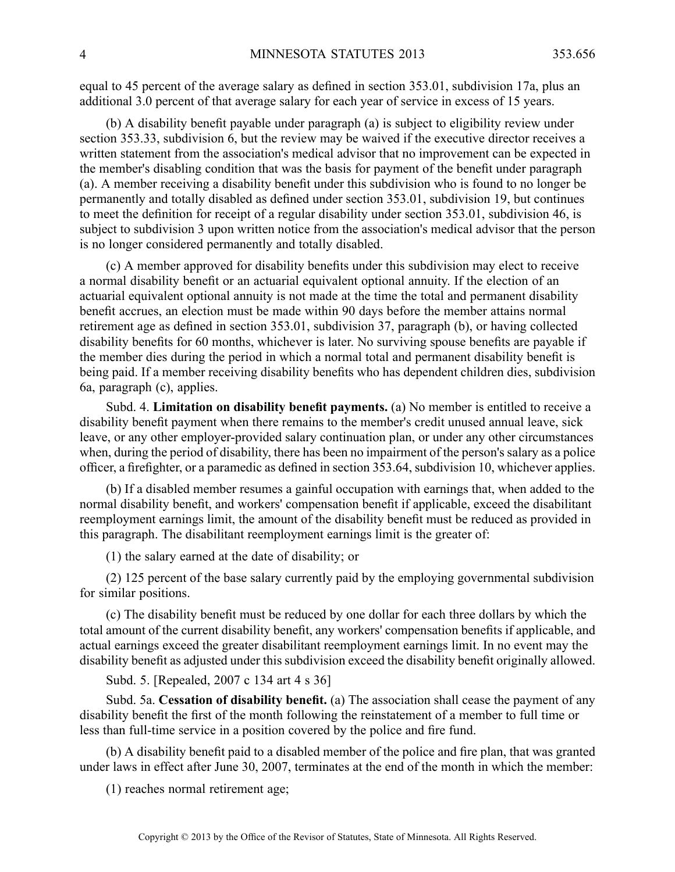equal to 45 percen<sup>t</sup> of the average salary as defined in section 353.01, subdivision 17a, plus an additional 3.0 percen<sup>t</sup> of that average salary for each year of service in excess of 15 years.

(b) A disability benefit payable under paragraph (a) is subject to eligibility review under section 353.33, subdivision 6, but the review may be waived if the executive director receives <sup>a</sup> written statement from the association's medical advisor that no improvement can be expected in the member's disabling condition that was the basis for paymen<sup>t</sup> of the benefit under paragraph (a). Amember receiving <sup>a</sup> disability benefit under this subdivision who is found to no longer be permanently and totally disabled as defined under section 353.01, subdivision 19, but continues to meet the definition for receipt of <sup>a</sup> regular disability under section 353.01, subdivision 46, is subject to subdivision 3 upon written notice from the association's medical advisor that the person is no longer considered permanently and totally disabled.

(c) A member approved for disability benefits under this subdivision may elect to receive <sup>a</sup> normal disability benefit or an actuarial equivalent optional annuity. If the election of an actuarial equivalent optional annuity is not made at the time the total and permanen<sup>t</sup> disability benefit accrues, an election must be made within 90 days before the member attains normal retirement age as defined in section 353.01, subdivision 37, paragraph (b), or having collected disability benefits for 60 months, whichever is later. No surviving spouse benefits are payable if the member dies during the period in which <sup>a</sup> normal total and permanen<sup>t</sup> disability benefit is being paid. If <sup>a</sup> member receiving disability benefits who has dependent children dies, subdivision 6a, paragraph (c), applies.

Subd. 4. **Limitation on disability benefit payments.** (a) No member is entitled to receive <sup>a</sup> disability benefit paymen<sup>t</sup> when there remains to the member's credit unused annual leave, sick leave, or any other employer-provided salary continuation plan, or under any other circumstances when, during the period of disability, there has been no impairment of the person's salary as <sup>a</sup> police officer, <sup>a</sup> firefighter, or <sup>a</sup> paramedic as defined in section 353.64, subdivision 10, whichever applies.

(b) If <sup>a</sup> disabled member resumes <sup>a</sup> gainful occupation with earnings that, when added to the normal disability benefit, and workers' compensation benefit if applicable, exceed the disabilitant reemployment earnings limit, the amount of the disability benefit must be reduced as provided in this paragraph. The disabilitant reemployment earnings limit is the greater of:

(1) the salary earned at the date of disability; or

(2) 125 percen<sup>t</sup> of the base salary currently paid by the employing governmental subdivision for similar positions.

(c) The disability benefit must be reduced by one dollar for each three dollars by which the total amount of the current disability benefit, any workers' compensation benefits if applicable, and actual earnings exceed the greater disabilitant reemployment earnings limit. In no event may the disability benefit as adjusted under this subdivision exceed the disability benefit originally allowed.

Subd. 5. [Repealed, 2007 <sup>c</sup> 134 art 4 <sup>s</sup> 36]

Subd. 5a. **Cessation of disability benefit.** (a) The association shall cease the paymen<sup>t</sup> of any disability benefit the first of the month following the reinstatement of <sup>a</sup> member to full time or less than full-time service in <sup>a</sup> position covered by the police and fire fund.

(b) A disability benefit paid to <sup>a</sup> disabled member of the police and fire plan, that was granted under laws in effect after June 30, 2007, terminates at the end of the month in which the member:

(1) reaches normal retirement age;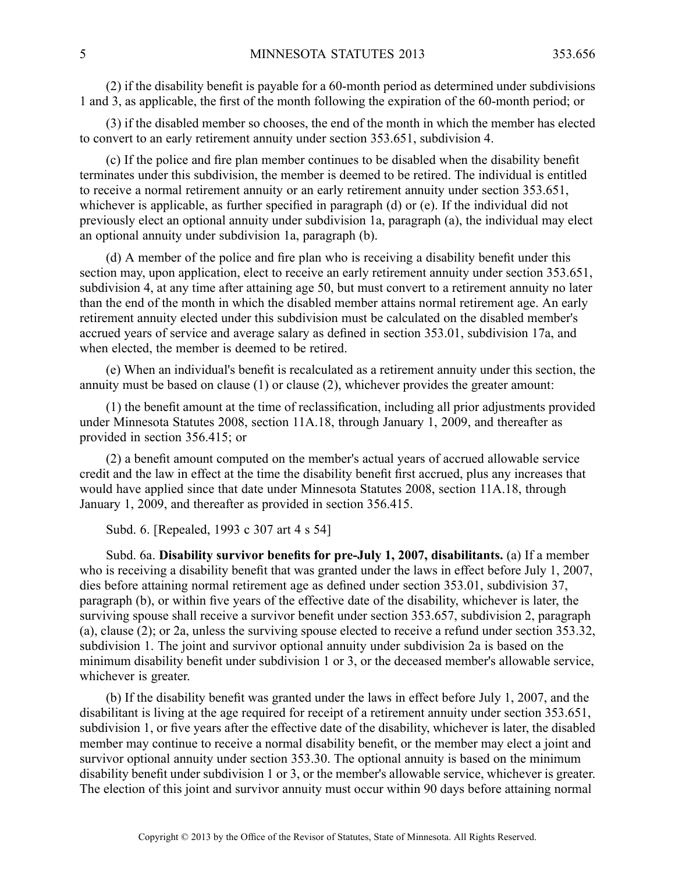(2) if the disability benefit is payable for <sup>a</sup> 60-month period as determined under subdivisions 1 and 3, as applicable, the first of the month following the expiration of the 60-month period; or

(3) if the disabled member so chooses, the end of the month in which the member has elected to convert to an early retirement annuity under section 353.651, subdivision 4.

(c) If the police and fire plan member continues to be disabled when the disability benefit terminates under this subdivision, the member is deemed to be retired. The individual is entitled to receive <sup>a</sup> normal retirement annuity or an early retirement annuity under section 353.651, whichever is applicable, as further specified in paragraph (d) or (e). If the individual did not previously elect an optional annuity under subdivision 1a, paragraph (a), the individual may elect an optional annuity under subdivision 1a, paragraph (b).

(d) A member of the police and fire plan who is receiving <sup>a</sup> disability benefit under this section may, upon application, elect to receive an early retirement annuity under section 353.651, subdivision 4, at any time after attaining age 50, but must convert to <sup>a</sup> retirement annuity no later than the end of the month in which the disabled member attains normal retirement age. An early retirement annuity elected under this subdivision must be calculated on the disabled member's accrued years of service and average salary as defined in section 353.01, subdivision 17a, and when elected, the member is deemed to be retired.

(e) When an individual's benefit is recalculated as <sup>a</sup> retirement annuity under this section, the annuity must be based on clause (1) or clause (2), whichever provides the greater amount:

(1) the benefit amount at the time of reclassification, including all prior adjustments provided under Minnesota Statutes 2008, section 11A.18, through January 1, 2009, and thereafter as provided in section 356.415; or

(2) <sup>a</sup> benefit amount computed on the member's actual years of accrued allowable service credit and the law in effect at the time the disability benefit first accrued, plus any increases that would have applied since that date under Minnesota Statutes 2008, section 11A.18, through January 1, 2009, and thereafter as provided in section 356.415.

Subd. 6. [Repealed, 1993 <sup>c</sup> 307 art 4 <sup>s</sup> 54]

Subd. 6a. **Disability survivor benefits for pre-July 1, 2007, disabilitants.** (a) If <sup>a</sup> member who is receiving <sup>a</sup> disability benefit that was granted under the laws in effect before July 1, 2007, dies before attaining normal retirement age as defined under section 353.01, subdivision 37, paragraph (b), or within five years of the effective date of the disability, whichever is later, the surviving spouse shall receive <sup>a</sup> survivor benefit under section 353.657, subdivision 2, paragraph (a), clause (2); or 2a, unless the surviving spouse elected to receive <sup>a</sup> refund under section 353.32, subdivision 1. The joint and survivor optional annuity under subdivision 2a is based on the minimum disability benefit under subdivision 1 or 3, or the deceased member's allowable service, whichever is greater.

(b) If the disability benefit was granted under the laws in effect before July 1, 2007, and the disabilitant is living at the age required for receipt of <sup>a</sup> retirement annuity under section 353.651, subdivision 1, or five years after the effective date of the disability, whichever is later, the disabled member may continue to receive <sup>a</sup> normal disability benefit, or the member may elect <sup>a</sup> joint and survivor optional annuity under section 353.30. The optional annuity is based on the minimum disability benefit under subdivision 1 or 3, or the member's allowable service, whichever is greater. The election of this joint and survivor annuity must occur within 90 days before attaining normal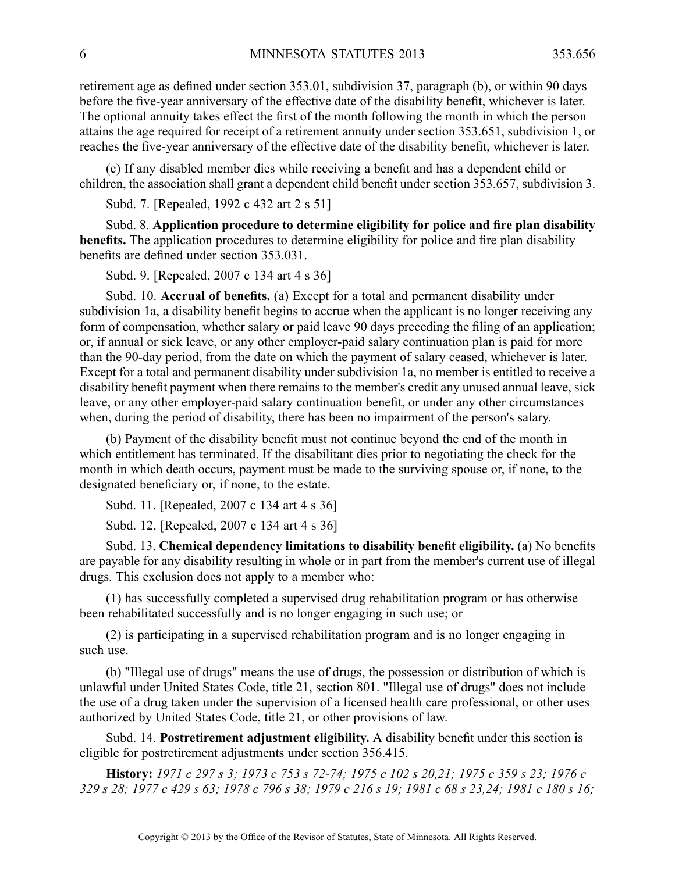retirement age as defined under section 353.01, subdivision 37, paragraph (b), or within 90 days before the five-year anniversary of the effective date of the disability benefit, whichever is later. The optional annuity takes effect the first of the month following the month in which the person attains the age required for receipt of <sup>a</sup> retirement annuity under section 353.651, subdivision 1, or reaches the five-year anniversary of the effective date of the disability benefit, whichever is later.

(c) If any disabled member dies while receiving <sup>a</sup> benefit and has <sup>a</sup> dependent child or children, the association shall gran<sup>t</sup> <sup>a</sup> dependent child benefit under section 353.657, subdivision 3.

Subd. 7. [Repealed, 1992 <sup>c</sup> 432 art 2 <sup>s</sup> 51]

Subd. 8. **Application procedure to determine eligibility for police and fire plan disability benefits.** The application procedures to determine eligibility for police and fire plan disability benefits are defined under section 353.031.

Subd. 9. [Repealed, 2007 <sup>c</sup> 134 art 4 <sup>s</sup> 36]

Subd. 10. **Accrual of benefits.** (a) Except for <sup>a</sup> total and permanen<sup>t</sup> disability under subdivision 1a, <sup>a</sup> disability benefit begins to accrue when the applicant is no longer receiving any form of compensation, whether salary or paid leave 90 days preceding the filing of an application; or, if annual or sick leave, or any other employer-paid salary continuation plan is paid for more than the 90-day period, from the date on which the paymen<sup>t</sup> of salary ceased, whichever is later. Except for <sup>a</sup> total and permanen<sup>t</sup> disability under subdivision 1a, no member is entitled to receive <sup>a</sup> disability benefit paymen<sup>t</sup> when there remains to the member's credit any unused annual leave, sick leave, or any other employer-paid salary continuation benefit, or under any other circumstances when, during the period of disability, there has been no impairment of the person's salary.

(b) Payment of the disability benefit must not continue beyond the end of the month in which entitlement has terminated. If the disabilitant dies prior to negotiating the check for the month in which death occurs, paymen<sup>t</sup> must be made to the surviving spouse or, if none, to the designated beneficiary or, if none, to the estate.

Subd. 11. [Repealed, 2007 c 134 art 4 s 36]

Subd. 12. [Repealed, 2007 <sup>c</sup> 134 art 4 <sup>s</sup> 36]

Subd. 13. **Chemical dependency limitations to disability benefit eligibility.** (a) No benefits are payable for any disability resulting in whole or in par<sup>t</sup> from the member's current use of illegal drugs. This exclusion does not apply to <sup>a</sup> member who:

(1) has successfully completed <sup>a</sup> supervised drug rehabilitation program or has otherwise been rehabilitated successfully and is no longer engaging in such use; or

(2) is participating in <sup>a</sup> supervised rehabilitation program and is no longer engaging in such use.

(b) "Illegal use of drugs" means the use of drugs, the possession or distribution of which is unlawful under United States Code, title 21, section 801. "Illegal use of drugs" does not include the use of <sup>a</sup> drug taken under the supervision of <sup>a</sup> licensed health care professional, or other uses authorized by United States Code, title 21, or other provisions of law.

Subd. 14. **Postretirement adjustment eligibility.** A disability benefit under this section is eligible for postretirement adjustments under section 356.415.

History: 1971 c 297 s 3; 1973 c 753 s 72-74; 1975 c 102 s 20,21; 1975 c 359 s 23; 1976 c 329 s 28; 1977 c 429 s 63; 1978 c 796 s 38; 1979 c 216 s 19; 1981 c 68 s 23,24; 1981 c 180 s 16;